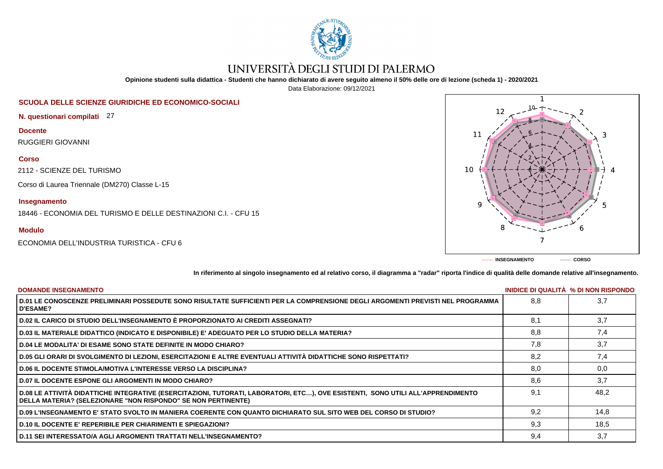

# UNIVERSITÀ DEGLI STUDI DI PALERMO

**Opinione studenti sulla didattica - Studenti che hanno dichiarato di avere seguito almeno il 50% delle ore di lezione (scheda 1) - 2020/2021**

Data Elaborazione: 09/12/2021

# **SCUOLA DELLE SCIENZE GIURIDICHE ED ECONOMICO-SOCIALI**

**N. questionari compilati** 27

**Docente** RUGGIERI GIOVANNI

### **Corso**

2112 - SCIENZE DEL TURISMO

Corso di Laurea Triennale (DM270) Classe L-15

# **Insegnamento**

18446 - ECONOMIA DEL TURISMO E DELLE DESTINAZIONI C.I. - CFU 15

# **Modulo**

ECONOMIA DELL'INDUSTRIA TURISTICA - CFU 6



**In riferimento al singolo insegnamento ed al relativo corso, il diagramma a "radar" riporta l'indice di qualità delle domande relative all'insegnamento.**

| <b>DOMANDE INSEGNAMENTO</b>                                                                                                                                                                             |     | INIDICE DI QUALITA % DI NON RISPONDO |
|---------------------------------------------------------------------------------------------------------------------------------------------------------------------------------------------------------|-----|--------------------------------------|
| D.01 LE CONOSCENZE PRELIMINARI POSSEDUTE SONO RISULTATE SUFFICIENTI PER LA COMPRENSIONE DEGLI ARGOMENTI PREVISTI NEL PROGRAMMA<br><b>D'ESAME?</b>                                                       | 8.8 | 3,7                                  |
| D.02 IL CARICO DI STUDIO DELL'INSEGNAMENTO È PROPORZIONATO AI CREDITI ASSEGNATI?                                                                                                                        | 8.1 | 3,7                                  |
| D.03 IL MATERIALE DIDATTICO (INDICATO E DISPONIBILE) E' ADEGUATO PER LO STUDIO DELLA MATERIA?                                                                                                           | 8,8 | 7,4                                  |
| <b>D.04 LE MODALITA' DI ESAME SONO STATE DEFINITE IN MODO CHIARO?</b>                                                                                                                                   | 7,8 | 3,7                                  |
| D.05 GLI ORARI DI SVOLGIMENTO DI LEZIONI, ESERCITAZIONI E ALTRE EVENTUALI ATTIVITÀ DIDATTICHE SONO RISPETTATI?                                                                                          | 8.2 | 7.4                                  |
| <b>D.06 IL DOCENTE STIMOLA/MOTIVA L'INTERESSE VERSO LA DISCIPLINA?</b>                                                                                                                                  | 8,0 | 0,0                                  |
| <b>D.07 IL DOCENTE ESPONE GLI ARGOMENTI IN MODO CHIARO?</b>                                                                                                                                             | 8.6 | 3,7                                  |
| D.08 LE ATTIVITÀ DIDATTICHE INTEGRATIVE (ESERCITAZIONI, TUTORATI, LABORATORI, ETC), OVE ESISTENTI, SONO UTILI ALL'APPRENDIMENTO<br><b>DELLA MATERIA? (SELEZIONARE "NON RISPONDO" SE NON PERTINENTE)</b> | 9.1 | 48,2                                 |
| D.09 L'INSEGNAMENTO E' STATO SVOLTO IN MANIERA COERENTE CON QUANTO DICHIARATO SUL SITO WEB DEL CORSO DI STUDIO?                                                                                         | 9.2 | 14,8                                 |
| <b>D.10 IL DOCENTE E' REPERIBILE PER CHIARIMENTI E SPIEGAZIONI?</b>                                                                                                                                     | 9,3 | 18,5                                 |
| D.11 SEI INTERESSATO/A AGLI ARGOMENTI TRATTATI NELL'INSEGNAMENTO?                                                                                                                                       | 9,4 | 3,7                                  |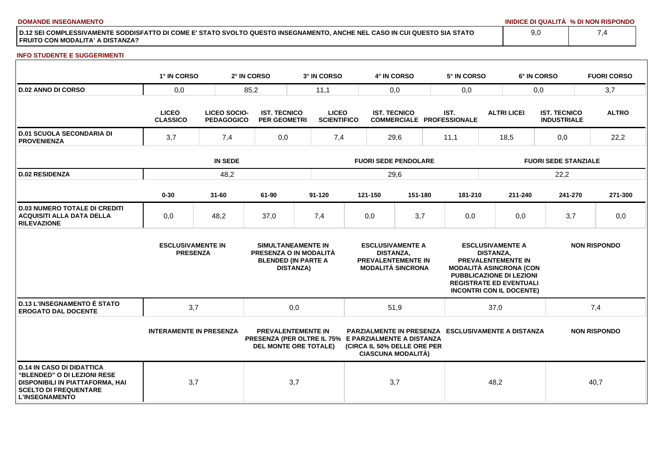**DOMANDE INSEGNAMENTO INIDICE DI QUALITÀ % DI NON RISPONDO**

**D.12 SEI COMPLESSIVAMENTE SODDISFATTO DI COME E' STATO SVOLTO QUESTO INSEGNAMENTO, ANCHE NEL CASO IN CUI QUESTO SIA STATO FRUITO CON MODALITA' A DISTANZA?**

## **INFO STUDENTE E SUGGERIMENTI**

|                                                                                                                                                             | 1° IN CORSO                                 |                                   | 2° IN CORSO                                | 3° IN CORSO                                                                                                       |                             | 4° IN CORSO                                             |                                                                           |      | 5° IN CORSO                                                                                                                                                                             |                             | 6° IN CORSO |                                           |                     | <b>FUORI CORSO</b> |
|-------------------------------------------------------------------------------------------------------------------------------------------------------------|---------------------------------------------|-----------------------------------|--------------------------------------------|-------------------------------------------------------------------------------------------------------------------|-----------------------------|---------------------------------------------------------|---------------------------------------------------------------------------|------|-----------------------------------------------------------------------------------------------------------------------------------------------------------------------------------------|-----------------------------|-------------|-------------------------------------------|---------------------|--------------------|
| <b>D.02 ANNO DI CORSO</b>                                                                                                                                   | 0,0                                         |                                   | 85,2                                       | 11,1                                                                                                              | 0,0                         |                                                         | 0,0                                                                       |      | 0,0                                                                                                                                                                                     |                             |             | 3,7                                       |                     |                    |
|                                                                                                                                                             | <b>LICEO</b><br><b>CLASSICO</b>             | LICEO SOCIO-<br><b>PEDAGOGICO</b> | <b>IST. TECNICO</b><br><b>PER GEOMETRI</b> | <b>LICEO</b><br><b>SCIENTIFICO</b>                                                                                |                             | <b>IST. TECNICO</b><br><b>COMMERCIALE PROFESSIONALE</b> |                                                                           | IST. |                                                                                                                                                                                         | <b>ALTRI LICEI</b>          |             | <b>IST. TECNICO</b><br><b>INDUSTRIALE</b> |                     | <b>ALTRO</b>       |
| <b>D.01 SCUOLA SECONDARIA DI</b><br><b>PROVENIENZA</b>                                                                                                      | 3,7                                         | 7,4                               |                                            | 0,0<br>7,4                                                                                                        |                             | 29,6                                                    |                                                                           |      | 11,1                                                                                                                                                                                    | 18,5                        |             | 0,0                                       |                     | 22,2               |
|                                                                                                                                                             | <b>IN SEDE</b>                              |                                   |                                            |                                                                                                                   | <b>FUORI SEDE PENDOLARE</b> |                                                         |                                                                           |      |                                                                                                                                                                                         | <b>FUORI SEDE STANZIALE</b> |             |                                           |                     |                    |
| <b>D.02 RESIDENZA</b>                                                                                                                                       |                                             | 48,2                              |                                            |                                                                                                                   |                             | 29,6                                                    |                                                                           |      |                                                                                                                                                                                         |                             |             | 22,2                                      |                     |                    |
|                                                                                                                                                             | $0 - 30$                                    | $31 - 60$                         | 61-90                                      | $91 - 120$                                                                                                        |                             | 121-150                                                 | 151-180                                                                   |      | 181-210                                                                                                                                                                                 |                             | 211-240     | 241-270                                   |                     | 271-300            |
| <b>D.03 NUMERO TOTALE DI CREDITI</b><br><b>ACQUISITI ALLA DATA DELLA</b><br><b>RILEVAZIONE</b>                                                              | 0,0                                         | 48,2                              | 37,0                                       | 7,4                                                                                                               |                             | 0,0                                                     | 3,7                                                                       |      | 0,0                                                                                                                                                                                     |                             | 0,0         | 3,7                                       |                     | 0,0                |
|                                                                                                                                                             | <b>ESCLUSIVAMENTE IN</b><br><b>PRESENZA</b> |                                   |                                            | SIMULTANEAMENTE IN<br>PRESENZA O IN MODALITÀ<br><b>BLENDED (IN PARTE A</b><br><b>DISTANZA)</b>                    |                             | <b>DISTANZA,</b>                                        | <b>ESCLUSIVAMENTE A</b><br>PREVALENTEMENTE IN<br><b>MODALITÀ SINCRONA</b> |      | <b>ESCLUSIVAMENTE A</b><br>PREVALENTEMENTE IN<br><b>MODALITÀ ASINCRONA (CON</b><br><b>PUBBLICAZIONE DI LEZIONI</b><br><b>REGISTRATE ED EVENTUALI</b><br><b>INCONTRI CON IL DOCENTE)</b> | <b>DISTANZA,</b>            |             |                                           | <b>NON RISPONDO</b> |                    |
| <b>D.13 L'INSEGNAMENTO È STATO</b><br><b>EROGATO DAL DOCENTE</b>                                                                                            | 3,7                                         |                                   |                                            | 0,0                                                                                                               |                             | 51,9                                                    |                                                                           |      |                                                                                                                                                                                         | 37,0                        |             |                                           | 7,4                 |                    |
|                                                                                                                                                             | <b>INTERAMENTE IN PRESENZA</b>              |                                   |                                            | <b>PREVALENTEMENTE IN</b><br>PRESENZA (PER OLTRE IL 75% E PARZIALMENTE A DISTANZA<br><b>DEL MONTE ORE TOTALE)</b> |                             |                                                         | (CIRCA IL 50% DELLE ORE PER<br><b>CIASCUNA MODALITÀ)</b>                  |      | <b>PARZIALMENTE IN PRESENZA ESCLUSIVAMENTE A DISTANZA</b>                                                                                                                               |                             |             |                                           | <b>NON RISPONDO</b> |                    |
| <b>D.14 IN CASO DI DIDATTICA</b><br>"BLENDED" O DI LEZIONI RESE<br>DISPONIBILI IN PIATTAFORMA, HAI<br><b>SCELTO DI FREQUENTARE</b><br><b>L'INSEGNAMENTO</b> | 3,7                                         |                                   |                                            | 3,7                                                                                                               |                             | 3,7                                                     |                                                                           |      |                                                                                                                                                                                         | 48,2                        |             |                                           | 40,7                |                    |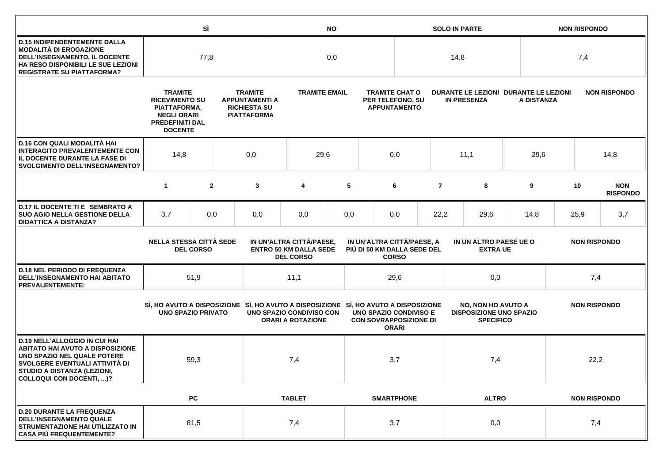|                                                                                                                                                                                                                    |                                                                                                                                                                                                                   | SÌ               |                          | <b>NO</b>                                                                                                       |                                                                                                                |                                                                  |                                                             |                                           | <b>SOLO IN PARTE</b> |                                                                                 |                     |                     | <b>NON RISPONDO</b> |                               |  |
|--------------------------------------------------------------------------------------------------------------------------------------------------------------------------------------------------------------------|-------------------------------------------------------------------------------------------------------------------------------------------------------------------------------------------------------------------|------------------|--------------------------|-----------------------------------------------------------------------------------------------------------------|----------------------------------------------------------------------------------------------------------------|------------------------------------------------------------------|-------------------------------------------------------------|-------------------------------------------|----------------------|---------------------------------------------------------------------------------|---------------------|---------------------|---------------------|-------------------------------|--|
| <b>D.15 INDIPENDENTEMENTE DALLA</b><br><b>MODALITÀ DI EROGAZIONE</b><br>DELL'INSEGNAMENTO, IL DOCENTE<br>HA RESO DISPONIBILI LE SUE LEZIONI<br><b>REGISTRATE SU PIATTAFORMA?</b>                                   | 77,8                                                                                                                                                                                                              |                  |                          | 0,0                                                                                                             |                                                                                                                |                                                                  |                                                             | 14,8                                      |                      |                                                                                 | 7,4                 |                     |                     |                               |  |
|                                                                                                                                                                                                                    | <b>TRAMITE</b><br><b>TRAMITE</b><br><b>RICEVIMENTO SU</b><br><b>APPUNTAMENTI A</b><br><b>RICHIESTA SU</b><br>PIATTAFORMA,<br><b>NEGLI ORARI</b><br><b>PIATTAFORMA</b><br><b>PREDEFINITI DAL</b><br><b>DOCENTE</b> |                  |                          | <b>TRAMITE EMAIL</b>                                                                                            |                                                                                                                | <b>TRAMITE CHAT O</b><br>PER TELEFONO, SU<br><b>APPUNTAMENTO</b> | DURANTE LE LEZIONI DURANTE LE LEZIONI<br><b>IN PRESENZA</b> |                                           |                      | <b>NON RISPONDO</b><br>A DISTANZA                                               |                     |                     |                     |                               |  |
| <b>D.16 CON QUALI MODALITÀ HAI</b><br><b>INTERAGITO PREVALENTEMENTE CON</b><br>IL DOCENTE DURANTE LA FASE DI<br><b>SVOLGIMENTO DELL'INSEGNAMENTO?</b>                                                              | 14,8<br>0,0                                                                                                                                                                                                       |                  |                          | 29,6                                                                                                            |                                                                                                                | 0,0                                                              |                                                             |                                           | 11,1                 | 29,6                                                                            |                     | 14,8                |                     |                               |  |
|                                                                                                                                                                                                                    | $\mathbf{1}$                                                                                                                                                                                                      | $\mathbf{2}$     |                          | 3                                                                                                               | 4                                                                                                              | 5                                                                |                                                             | 6                                         | $\overline{7}$       | 8                                                                               | 9                   |                     | 10                  | <b>NON</b><br><b>RISPONDO</b> |  |
| D.17 IL DOCENTE TI E SEMBRATO A<br><b>SUO AGIO NELLA GESTIONE DELLA</b><br><b>DIDATTICA A DISTANZA?</b>                                                                                                            | 3,7                                                                                                                                                                                                               | 0,0              |                          | 0,0                                                                                                             | 0,0                                                                                                            | 0,0                                                              |                                                             | 0,0                                       | 22,2<br>29,6         |                                                                                 | 14,8                | 25,9                |                     | 3,7                           |  |
|                                                                                                                                                                                                                    | <b>NELLA STESSA CITTÀ SEDE</b>                                                                                                                                                                                    | <b>DEL CORSO</b> | IN UN'ALTRA CITTÀ/PAESE, |                                                                                                                 | IN UN'ALTRA CITTÀ/PAESE, A<br><b>ENTRO 50 KM DALLA SEDE</b><br>PIÙ DI 50 KM DALLA SEDE DEL<br><b>DEL CORSO</b> |                                                                  | <b>CORSO</b>                                                | IN UN ALTRO PAESE UE O<br><b>EXTRA UE</b> |                      |                                                                                 | <b>NON RISPONDO</b> |                     |                     |                               |  |
| <b>D.18 NEL PERIODO DI FREQUENZA</b><br>DELL'INSEGNAMENTO HAI ABITATO<br><b>PREVALENTEMENTE:</b>                                                                                                                   |                                                                                                                                                                                                                   | 51,9             |                          |                                                                                                                 | 11,1                                                                                                           |                                                                  |                                                             | 29,6                                      |                      | 0,0                                                                             |                     | 7,4                 |                     |                               |  |
|                                                                                                                                                                                                                    | <b>UNO SPAZIO PRIVATO</b>                                                                                                                                                                                         |                  |                          | SI, HO AVUTO A DISPOSIZIONE SI, HO AVUTO A DISPOSIZIONE SI, HO AVUTO A DISPOSIZIONE<br>UNO SPAZIO CONDIVISO CON | <b>ORARI A ROTAZIONE</b>                                                                                       |                                                                  | <b>CON SOVRAPPOSIZIONE DI</b>                               | UNO SPAZIO CONDIVISO E<br><b>ORARI</b>    |                      | <b>NO, NON HO AVUTO A</b><br><b>DISPOSIZIONE UNO SPAZIO</b><br><b>SPECIFICO</b> |                     | <b>NON RISPONDO</b> |                     |                               |  |
| <b>D.19 NELL'ALLOGGIO IN CUI HAI</b><br><b>ABITATO HAI AVUTO A DISPOSIZIONE</b><br>UNO SPAZIO NEL QUALE POTERE<br>SVOLGERE EVENTUALI ATTIVITÀ DI<br>STUDIO A DISTANZA (LEZIONI,<br><b>COLLOQUI CON DOCENTI, )?</b> |                                                                                                                                                                                                                   | 59,3             |                          | 7,4                                                                                                             |                                                                                                                |                                                                  |                                                             | 3,7                                       |                      | 7,4                                                                             |                     | 22,2                |                     |                               |  |
|                                                                                                                                                                                                                    |                                                                                                                                                                                                                   | PC               |                          |                                                                                                                 | <b>TABLET</b>                                                                                                  |                                                                  |                                                             | <b>SMARTPHONE</b>                         |                      | <b>ALTRO</b>                                                                    |                     |                     | <b>NON RISPONDO</b> |                               |  |
| <b>D.20 DURANTE LA FREQUENZA</b><br><b>DELL'INSEGNAMENTO QUALE</b><br>STRUMENTAZIONE HAI UTILIZZATO IN<br><b>CASA PIÙ FREQUENTEMENTE?</b>                                                                          |                                                                                                                                                                                                                   | 81,5             |                          |                                                                                                                 | 7,4                                                                                                            |                                                                  |                                                             | 3,7                                       |                      | 0,0                                                                             |                     |                     | 7,4                 |                               |  |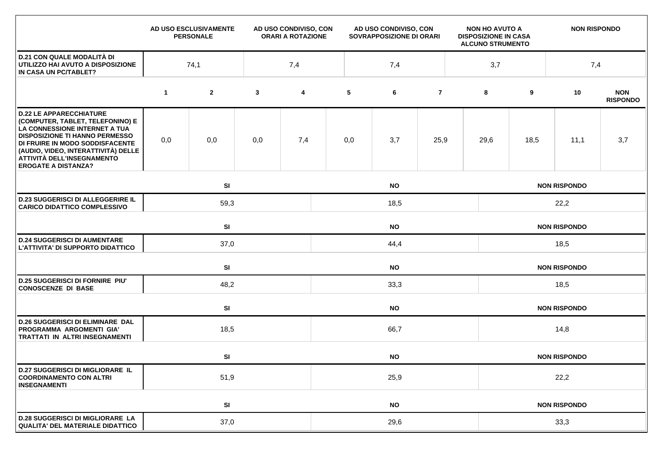|                                                                                                                                                                                                                                                                                    |             | AD USO ESCLUSIVAMENTE<br><b>PERSONALE</b> |              | AD USO CONDIVISO, CON<br><b>ORARI A ROTAZIONE</b> | AD USO CONDIVISO, CON<br>SOVRAPPOSIZIONE DI ORARI |           |                | <b>NON HO AVUTO A</b><br><b>DISPOSIZIONE IN CASA</b><br><b>ALCUNO STRUMENTO</b> |                     | <b>NON RISPONDO</b> |                     |                               |  |  |  |
|------------------------------------------------------------------------------------------------------------------------------------------------------------------------------------------------------------------------------------------------------------------------------------|-------------|-------------------------------------------|--------------|---------------------------------------------------|---------------------------------------------------|-----------|----------------|---------------------------------------------------------------------------------|---------------------|---------------------|---------------------|-------------------------------|--|--|--|
| <b>D.21 CON QUALE MODALITÀ DI</b><br>UTILIZZO HAI AVUTO A DISPOSIZIONE<br>IN CASA UN PC/TABLET?                                                                                                                                                                                    | 74,1<br>7,4 |                                           |              |                                                   | 7,4                                               |           |                |                                                                                 |                     | 3,7<br>7,4          |                     |                               |  |  |  |
|                                                                                                                                                                                                                                                                                    | $\mathbf 1$ | $\mathbf{2}$                              | $\mathbf{3}$ | 4                                                 | 5                                                 | 6         | $\overline{7}$ |                                                                                 | 8                   | 9                   | 10                  | <b>NON</b><br><b>RISPONDO</b> |  |  |  |
| <b>D.22 LE APPARECCHIATURE</b><br>(COMPUTER, TABLET, TELEFONINO) E<br>LA CONNESSIONE INTERNET A TUA<br><b>DISPOSIZIONE TI HANNO PERMESSO</b><br>DI FRUIRE IN MODO SODDISFACENTE<br>(AUDIO, VIDEO, INTERATTIVITÀ) DELLE<br>ATTIVITÀ DELL'INSEGNAMENTO<br><b>EROGATE A DISTANZA?</b> | 0,0         | 0,0                                       | 0,0          | 7,4                                               | 0,0                                               | 3,7       | 25,9           |                                                                                 | 29,6                | 18,5                | 11,1                | 3,7                           |  |  |  |
|                                                                                                                                                                                                                                                                                    |             | SI<br><b>NO</b>                           |              |                                                   |                                                   |           |                |                                                                                 |                     |                     | <b>NON RISPONDO</b> |                               |  |  |  |
| <b>D.23 SUGGERISCI DI ALLEGGERIRE IL</b><br><b>CARICO DIDATTICO COMPLESSIVO</b>                                                                                                                                                                                                    |             | 59,3<br>18,5                              |              |                                                   |                                                   |           |                |                                                                                 | 22,2                |                     |                     |                               |  |  |  |
|                                                                                                                                                                                                                                                                                    |             | SI<br><b>NO</b>                           |              |                                                   |                                                   |           |                |                                                                                 | <b>NON RISPONDO</b> |                     |                     |                               |  |  |  |
| <b>D.24 SUGGERISCI DI AUMENTARE</b><br>L'ATTIVITA' DI SUPPORTO DIDATTICO                                                                                                                                                                                                           |             | 37,0                                      |              |                                                   | 44,4                                              |           |                |                                                                                 |                     | 18,5                |                     |                               |  |  |  |
|                                                                                                                                                                                                                                                                                    |             | SI                                        |              |                                                   | <b>NO</b>                                         |           |                |                                                                                 |                     |                     | <b>NON RISPONDO</b> |                               |  |  |  |
| <b>D.25 SUGGERISCI DI FORNIRE PIU'</b><br><b>CONOSCENZE DI BASE</b>                                                                                                                                                                                                                |             | 48,2                                      |              |                                                   | 33,3                                              |           |                |                                                                                 |                     | 18,5                |                     |                               |  |  |  |
|                                                                                                                                                                                                                                                                                    |             | SI                                        |              |                                                   | <b>NO</b>                                         |           |                |                                                                                 |                     |                     | <b>NON RISPONDO</b> |                               |  |  |  |
| <b>D.26 SUGGERISCI DI ELIMINARE DAL</b><br>PROGRAMMA ARGOMENTI GIA'<br><b>TRATTATI IN ALTRI INSEGNAMENTI</b>                                                                                                                                                                       |             | 18,5                                      | 66,7         |                                                   |                                                   |           |                |                                                                                 | 14,8                |                     |                     |                               |  |  |  |
|                                                                                                                                                                                                                                                                                    |             | SI<br><b>NO</b>                           |              |                                                   |                                                   |           |                |                                                                                 | <b>NON RISPONDO</b> |                     |                     |                               |  |  |  |
| <b>D.27 SUGGERISCI DI MIGLIORARE IL</b><br><b>COORDINAMENTO CON ALTRI</b><br><b>INSEGNAMENTI</b>                                                                                                                                                                                   |             | 51,9                                      |              |                                                   | 25,9                                              |           |                |                                                                                 |                     | 22,2                |                     |                               |  |  |  |
|                                                                                                                                                                                                                                                                                    |             | SI                                        |              |                                                   |                                                   | <b>NO</b> |                |                                                                                 |                     |                     | <b>NON RISPONDO</b> |                               |  |  |  |
| <b>D.28 SUGGERISCI DI MIGLIORARE LA</b><br>QUALITA' DEL MATERIALE DIDATTICO                                                                                                                                                                                                        |             | 37,0                                      |              | 29,6                                              |                                                   |           |                |                                                                                 | 33,3                |                     |                     |                               |  |  |  |